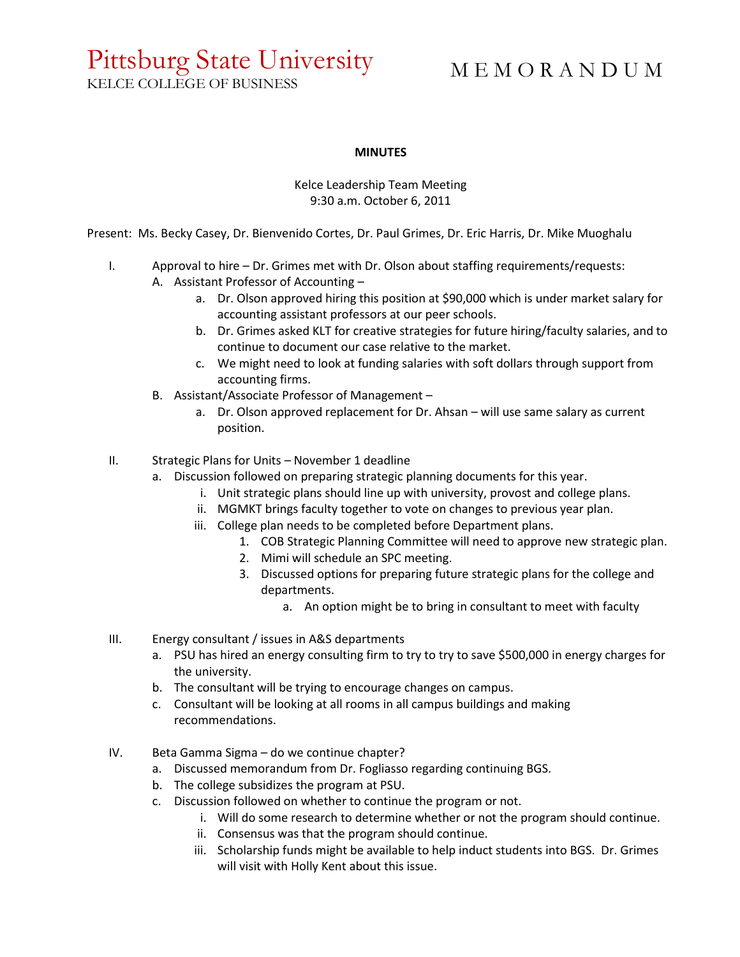### Pittsburg State University KELCE COLLEGE OF BUSINESS

M E M O R A N D U M

#### **MINUTES**

#### Kelce Leadership Team Meeting 9:30 a.m. October 6, 2011

Present: Ms. Becky Casey, Dr. Bienvenido Cortes, Dr. Paul Grimes, Dr. Eric Harris, Dr. Mike Muoghalu

- I. Approval to hire Dr. Grimes met with Dr. Olson about staffing requirements/requests:
	- A. Assistant Professor of Accounting
		- a. Dr. Olson approved hiring this position at \$90,000 which is under market salary for accounting assistant professors at our peer schools.
		- b. Dr. Grimes asked KLT for creative strategies for future hiring/faculty salaries, and to continue to document our case relative to the market.
		- c. We might need to look at funding salaries with soft dollars through support from accounting firms.
	- B. Assistant/Associate Professor of Management
		- a. Dr. Olson approved replacement for Dr. Ahsan will use same salary as current position.
- II. Strategic Plans for Units November 1 deadline
	- a. Discussion followed on preparing strategic planning documents for this year.
		- i. Unit strategic plans should line up with university, provost and college plans.
		- ii. MGMKT brings faculty together to vote on changes to previous year plan.
		- iii. College plan needs to be completed before Department plans.
			- 1. COB Strategic Planning Committee will need to approve new strategic plan.
			- 2. Mimi will schedule an SPC meeting.
			- 3. Discussed options for preparing future strategic plans for the college and departments.
				- a. An option might be to bring in consultant to meet with faculty
- III. Energy consultant / issues in A&S departments
	- a. PSU has hired an energy consulting firm to try to try to save \$500,000 in energy charges for the university.
	- b. The consultant will be trying to encourage changes on campus.
	- c. Consultant will be looking at all rooms in all campus buildings and making recommendations.
- IV. Beta Gamma Sigma do we continue chapter?
	- a. Discussed memorandum from Dr. Fogliasso regarding continuing BGS.
	- b. The college subsidizes the program at PSU.
	- c. Discussion followed on whether to continue the program or not.
		- i. Will do some research to determine whether or not the program should continue.
		- ii. Consensus was that the program should continue.
		- iii. Scholarship funds might be available to help induct students into BGS. Dr. Grimes will visit with Holly Kent about this issue.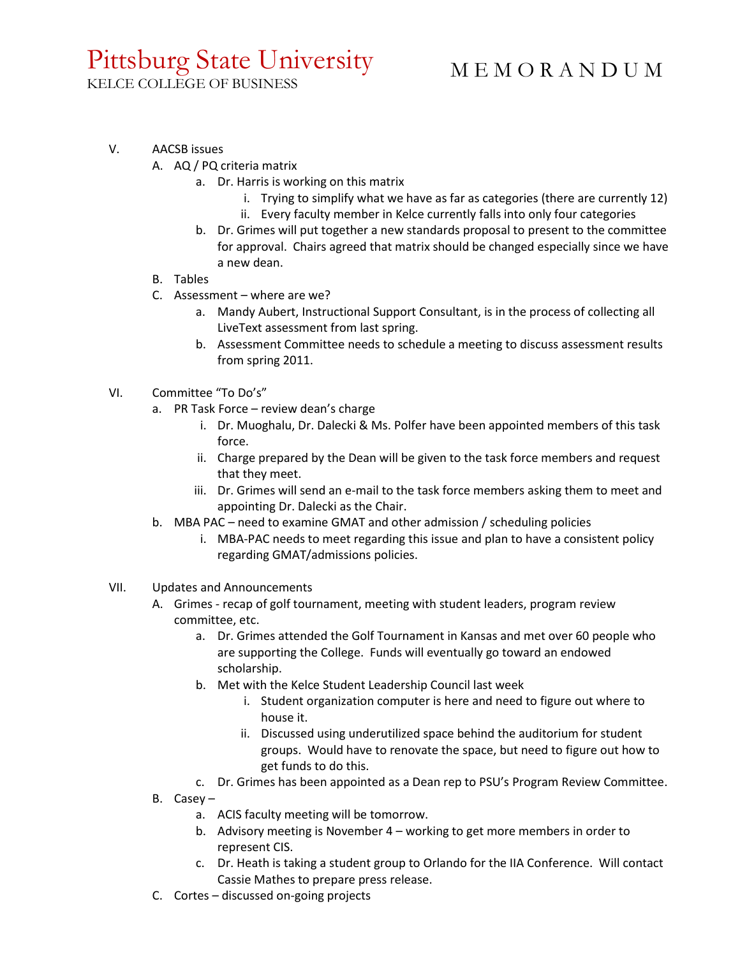## Pittsburg State University

M E M O R A N D U M

KELCE COLLEGE OF BUSINESS

- V. AACSB issues
	- A. AQ / PQ criteria matrix
		- a. Dr. Harris is working on this matrix
			- i. Trying to simplify what we have as far as categories (there are currently 12)
			- ii. Every faculty member in Kelce currently falls into only four categories
		- b. Dr. Grimes will put together a new standards proposal to present to the committee for approval. Chairs agreed that matrix should be changed especially since we have a new dean.
	- B. Tables
	- C. Assessment where are we?
		- a. Mandy Aubert, Instructional Support Consultant, is in the process of collecting all LiveText assessment from last spring.
		- b. Assessment Committee needs to schedule a meeting to discuss assessment results from spring 2011.
- VI. Committee "To Do's"
	- a. PR Task Force review dean's charge
		- i. Dr. Muoghalu, Dr. Dalecki & Ms. Polfer have been appointed members of this task force.
		- ii. Charge prepared by the Dean will be given to the task force members and request that they meet.
		- iii. Dr. Grimes will send an e-mail to the task force members asking them to meet and appointing Dr. Dalecki as the Chair.
	- b. MBA PAC need to examine GMAT and other admission / scheduling policies
		- i. MBA-PAC needs to meet regarding this issue and plan to have a consistent policy regarding GMAT/admissions policies.
- VII. Updates and Announcements
	- A. Grimes recap of golf tournament, meeting with student leaders, program review committee, etc.
		- a. Dr. Grimes attended the Golf Tournament in Kansas and met over 60 people who are supporting the College. Funds will eventually go toward an endowed scholarship.
		- b. Met with the Kelce Student Leadership Council last week
			- i. Student organization computer is here and need to figure out where to house it.
			- ii. Discussed using underutilized space behind the auditorium for student groups. Would have to renovate the space, but need to figure out how to get funds to do this.
		- c. Dr. Grimes has been appointed as a Dean rep to PSU's Program Review Committee.
	- B. Casey
		- a. ACIS faculty meeting will be tomorrow.
		- b. Advisory meeting is November 4 working to get more members in order to represent CIS.
		- c. Dr. Heath is taking a student group to Orlando for the IIA Conference. Will contact Cassie Mathes to prepare press release.
	- C. Cortes discussed on-going projects